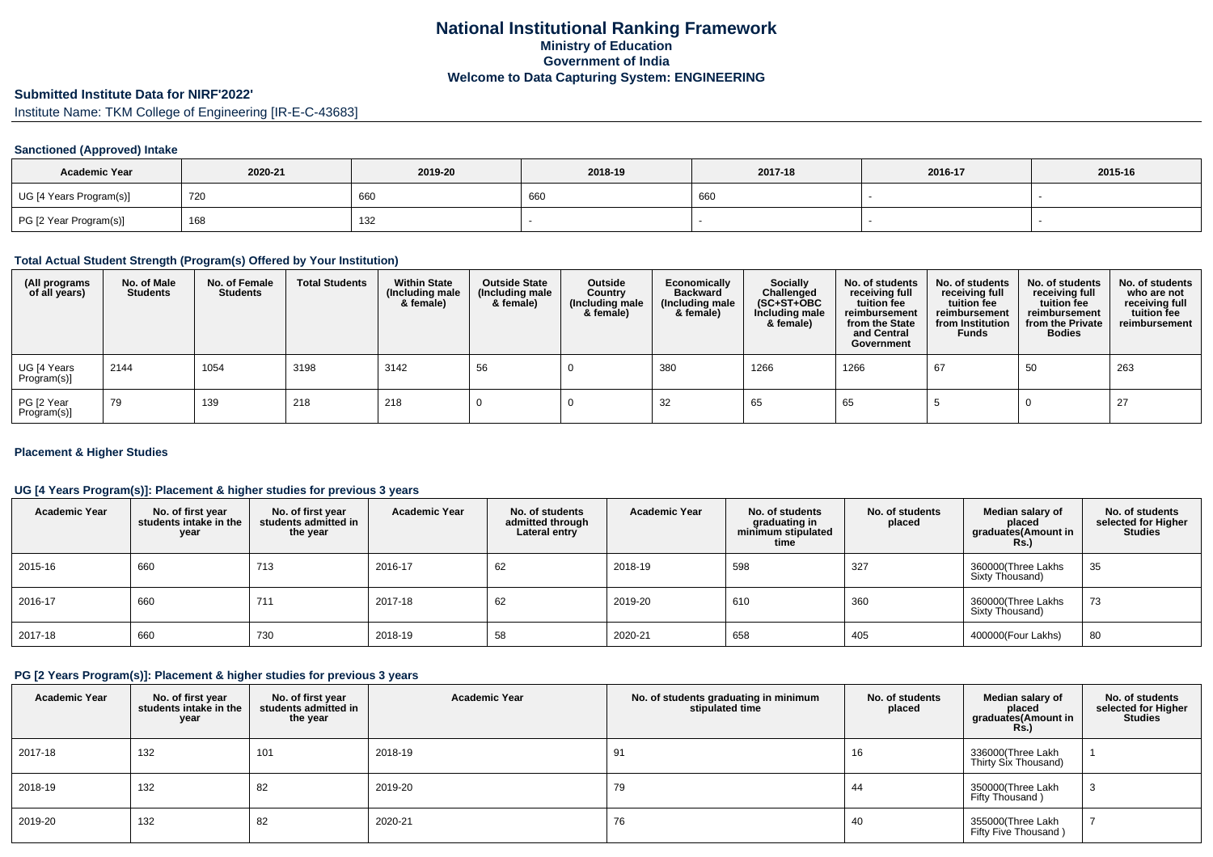# **Submitted Institute Data for NIRF'2022'**

Institute Name: TKM College of Engineering [IR-E-C-43683]

## **Sanctioned (Approved) Intake**

| <b>Academic Year</b>    | 2020-21 | 2019-20 | 2018-19 | 2017-18 |  | 2015-16 |
|-------------------------|---------|---------|---------|---------|--|---------|
| UG [4 Years Program(s)] | 720     | 660     | 660     | 660     |  |         |
| PG [2 Year Program(s)]  | 168     | 132     |         |         |  |         |

#### **Total Actual Student Strength (Program(s) Offered by Your Institution)**

| (All programs<br>of all years) | No. of Male<br><b>Students</b> | No. of Female<br><b>Students</b> | <b>Total Students</b> | <b>Within State</b><br>(Including male<br>& female) | <b>Outside State</b><br>(Including male<br>& female) | Outside<br>Country<br>(Including male<br>& female) | Economically<br><b>Backward</b><br>(Including male<br>& female) | <b>Socially</b><br>Challenged<br>$(SC+ST+OBC)$<br>Including male<br>& female) | No. of students<br>receiving full<br>tuition fee<br>reimbursement<br>from the State<br>and Central<br>Government | No. of students<br>receiving full<br>tuition fee<br>reimbursement<br>from Institution<br><b>Funds</b> | No. of students<br>receiving full<br>tuition fee<br>reimbursement<br>from the Private<br><b>Bodies</b> | No. of students<br>who are not<br>receiving full<br>tuition fee<br>reimbursement |
|--------------------------------|--------------------------------|----------------------------------|-----------------------|-----------------------------------------------------|------------------------------------------------------|----------------------------------------------------|-----------------------------------------------------------------|-------------------------------------------------------------------------------|------------------------------------------------------------------------------------------------------------------|-------------------------------------------------------------------------------------------------------|--------------------------------------------------------------------------------------------------------|----------------------------------------------------------------------------------|
| UG [4 Years<br>Program(s)]     | 2144                           | 1054                             | 3198                  | 3142                                                | 56                                                   |                                                    | 380                                                             | 1266                                                                          | 1266                                                                                                             | 67                                                                                                    | 50                                                                                                     | 263                                                                              |
| PG [2 Year<br>Program(s)]      | 79                             | 139                              | 218                   | 218                                                 |                                                      |                                                    | 32                                                              | 65                                                                            | 65                                                                                                               |                                                                                                       |                                                                                                        | 27                                                                               |

## **Placement & Higher Studies**

## **UG [4 Years Program(s)]: Placement & higher studies for previous 3 years**

| <b>Academic Year</b> | No. of first year<br>students intake in the<br>year | No. of first year<br>students admitted in<br>the year | <b>Academic Year</b> | No. of students<br>admitted through<br>Lateral entry | <b>Academic Year</b> | No. of students<br>graduating in<br>minimum stipulated<br>time | No. of students<br>placed | Median salary of<br>placed<br>graduates(Amount in<br><b>Rs.)</b> | No. of students<br>selected for Higher<br><b>Studies</b> |
|----------------------|-----------------------------------------------------|-------------------------------------------------------|----------------------|------------------------------------------------------|----------------------|----------------------------------------------------------------|---------------------------|------------------------------------------------------------------|----------------------------------------------------------|
| 2015-16              | 660                                                 | 713                                                   | 2016-17              | 62                                                   | 2018-19              | 598                                                            | 327                       | 360000(Three Lakhs<br>Sixty Thousand)                            | 35                                                       |
| 2016-17              | 660                                                 | 711                                                   | 2017-18              | 62                                                   | 2019-20              | 610                                                            | 360                       | 360000(Three Lakhs<br>Sixty Thousand)                            | 73                                                       |
| 2017-18              | 660                                                 | 730                                                   | 2018-19              | 58                                                   | 2020-21              | 658                                                            | 405                       | 400000(Four Lakhs)                                               | 80                                                       |

## **PG [2 Years Program(s)]: Placement & higher studies for previous 3 years**

| <b>Academic Year</b> | No. of first year<br>students intake in the<br>year | No. of first year<br>students admitted in<br>the year | <b>Academic Year</b> | No. of students graduating in minimum<br>stipulated time | No. of students<br>placed | Median salary of<br>placed<br>graduates(Amount in<br><b>Rs.)</b> | No. of students<br>selected for Higher<br><b>Studies</b> |
|----------------------|-----------------------------------------------------|-------------------------------------------------------|----------------------|----------------------------------------------------------|---------------------------|------------------------------------------------------------------|----------------------------------------------------------|
| $2017 - 18$          | 132                                                 | 101                                                   | 2018-19              | 91                                                       | 16                        | 336000(Three Lakh<br>Thirty Six Thousand)                        |                                                          |
| 2018-19              | 132                                                 | 82                                                    | 2019-20              | 79                                                       | 44                        | 350000(Three Lakh<br>Fifty Thousand)                             | 3                                                        |
| 2019-20              | 132                                                 | 82                                                    | 2020-21              | 76                                                       | 40                        | 355000(Three Lakh<br>Fifty Five Thousand)                        |                                                          |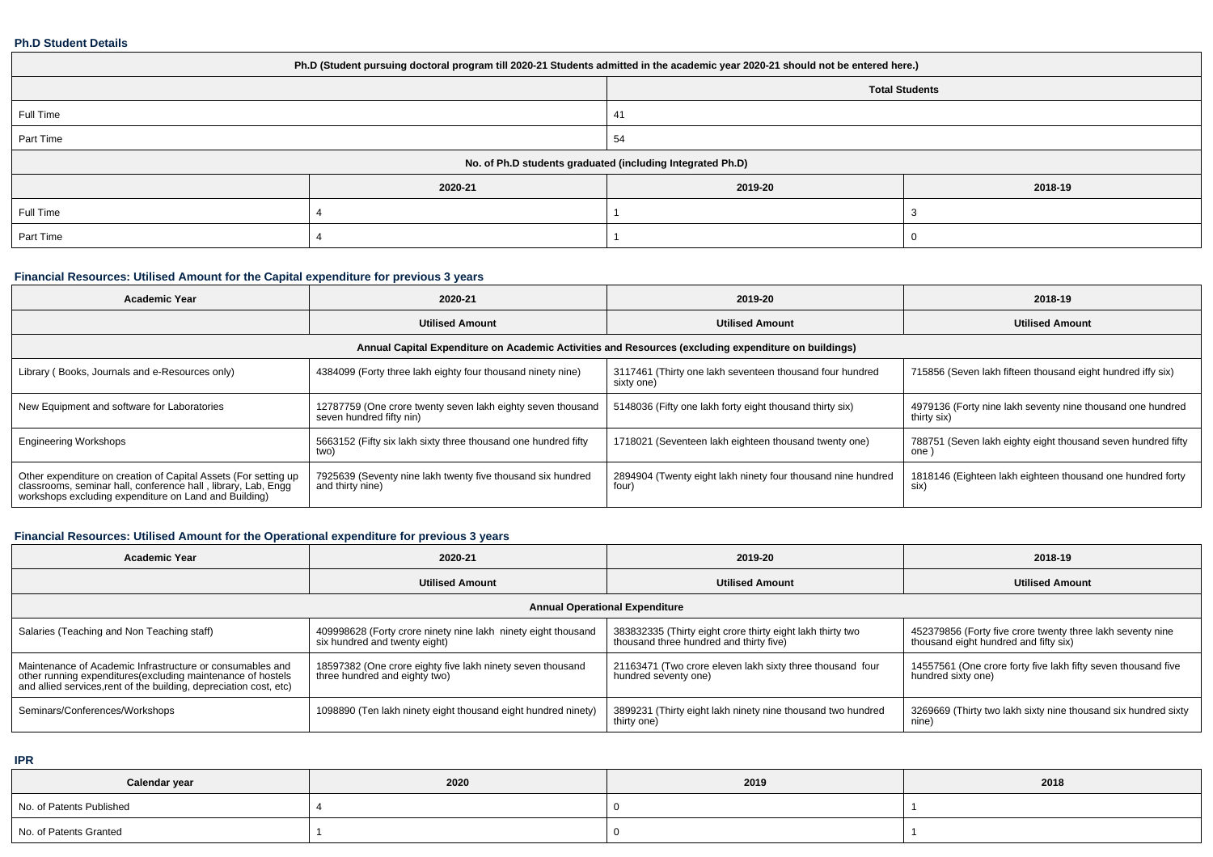#### **Ph.D Student Details**

| Ph.D (Student pursuing doctoral program till 2020-21 Students admitted in the academic year 2020-21 should not be entered here.) |         |                                                            |         |  |  |  |  |
|----------------------------------------------------------------------------------------------------------------------------------|---------|------------------------------------------------------------|---------|--|--|--|--|
| <b>Total Students</b>                                                                                                            |         |                                                            |         |  |  |  |  |
| Full Time                                                                                                                        |         | 41                                                         |         |  |  |  |  |
| Part Time                                                                                                                        |         | 54                                                         |         |  |  |  |  |
|                                                                                                                                  |         | No. of Ph.D students graduated (including Integrated Ph.D) |         |  |  |  |  |
|                                                                                                                                  | 2020-21 | 2019-20                                                    | 2018-19 |  |  |  |  |
| Full Time                                                                                                                        |         |                                                            |         |  |  |  |  |
| Part Time                                                                                                                        |         |                                                            |         |  |  |  |  |

## **Financial Resources: Utilised Amount for the Capital expenditure for previous 3 years**

| <b>Academic Year</b>                                                                                                                                                                      | 2020-21                                                                                 | 2019-20                                                                                              | 2018-19                                                                   |  |
|-------------------------------------------------------------------------------------------------------------------------------------------------------------------------------------------|-----------------------------------------------------------------------------------------|------------------------------------------------------------------------------------------------------|---------------------------------------------------------------------------|--|
|                                                                                                                                                                                           | <b>Utilised Amount</b>                                                                  | <b>Utilised Amount</b>                                                                               | <b>Utilised Amount</b>                                                    |  |
|                                                                                                                                                                                           |                                                                                         | Annual Capital Expenditure on Academic Activities and Resources (excluding expenditure on buildings) |                                                                           |  |
| Library (Books, Journals and e-Resources only)                                                                                                                                            | 4384099 (Forty three lakh eighty four thousand ninety nine)                             | 3117461 (Thirty one lakh seventeen thousand four hundred<br>sixty one)                               | 715856 (Seven lakh fifteen thousand eight hundred iffy six)               |  |
| New Equipment and software for Laboratories                                                                                                                                               | 12787759 (One crore twenty seven lakh eighty seven thousand<br>seven hundred fifty nin) | 5148036 (Fifty one lakh forty eight thousand thirty six)                                             | 4979136 (Forty nine lakh seventy nine thousand one hundred<br>thirty six) |  |
| <b>Engineering Workshops</b>                                                                                                                                                              | 5663152 (Fifty six lakh sixty three thousand one hundred fifty<br>two)                  | 1718021 (Seventeen lakh eighteen thousand twenty one)                                                | 788751 (Seven lakh eighty eight thousand seven hundred fifty<br>one )     |  |
| Other expenditure on creation of Capital Assets (For setting up<br>classrooms, seminar hall, conference hall, library, Lab, Engg<br>workshops excluding expenditure on Land and Building) | 7925639 (Seventy nine lakh twenty five thousand six hundred<br>and thirty nine)         | 2894904 (Twenty eight lakh ninety four thousand nine hundred<br>four)                                | 1818146 (Eighteen lakh eighteen thousand one hundred forty<br>six)        |  |

# **Financial Resources: Utilised Amount for the Operational expenditure for previous 3 years**

| <b>Academic Year</b>                                                                                                                                                                            | 2020-21                                                                                        | 2019-20                                                                                               | 2018-19                                                                                             |  |  |  |  |  |  |
|-------------------------------------------------------------------------------------------------------------------------------------------------------------------------------------------------|------------------------------------------------------------------------------------------------|-------------------------------------------------------------------------------------------------------|-----------------------------------------------------------------------------------------------------|--|--|--|--|--|--|
|                                                                                                                                                                                                 | <b>Utilised Amount</b>                                                                         | <b>Utilised Amount</b>                                                                                | <b>Utilised Amount</b>                                                                              |  |  |  |  |  |  |
| <b>Annual Operational Expenditure</b>                                                                                                                                                           |                                                                                                |                                                                                                       |                                                                                                     |  |  |  |  |  |  |
| Salaries (Teaching and Non Teaching staff)                                                                                                                                                      | 409998628 (Forty crore ninety nine lakh ninety eight thousand<br>six hundred and twenty eight) | 383832335 (Thirty eight crore thirty eight lakh thirty two<br>thousand three hundred and thirty five) | 452379856 (Forty five crore twenty three lakh seventy nine<br>thousand eight hundred and fifty six) |  |  |  |  |  |  |
| Maintenance of Academic Infrastructure or consumables and<br>other running expenditures (excluding maintenance of hostels<br>and allied services, rent of the building, depreciation cost, etc) | 18597382 (One crore eighty five lakh ninety seven thousand<br>three hundred and eighty two)    | 21163471 (Two crore eleven lakh sixty three thousand four<br>hundred seventy one)                     | 14557561 (One crore forty five lakh fifty seven thousand five<br>hundred sixty one)                 |  |  |  |  |  |  |
| Seminars/Conferences/Workshops                                                                                                                                                                  | 1098890 (Ten lakh ninety eight thousand eight hundred ninety)                                  | 3899231 (Thirty eight lakh ninety nine thousand two hundred<br>thirty one)                            | 3269669 (Thirty two lakh sixty nine thousand six hundred sixty<br>nine)                             |  |  |  |  |  |  |

**IPR**

| Calendar year            | 2020 | 2019 | 2018 |
|--------------------------|------|------|------|
| No. of Patents Published |      |      |      |
| No. of Patents Granted   |      |      |      |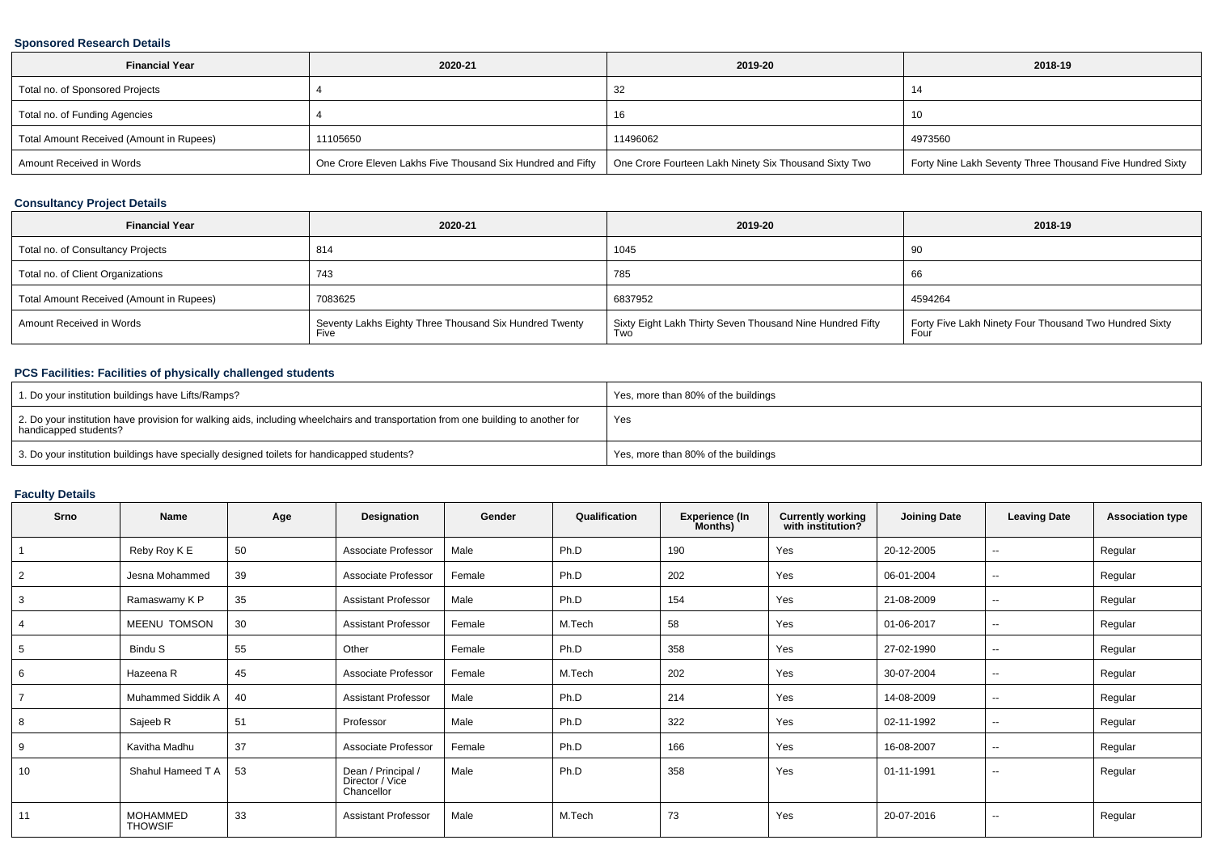## **Sponsored Research Details**

| <b>Financial Year</b>                    | 2020-21                                                    | 2019-20                                               | 2018-19                                                   |
|------------------------------------------|------------------------------------------------------------|-------------------------------------------------------|-----------------------------------------------------------|
| Total no. of Sponsored Projects          |                                                            | 32                                                    |                                                           |
| Total no. of Funding Agencies            |                                                            | 16                                                    | -10                                                       |
| Total Amount Received (Amount in Rupees) | 11105650                                                   | 11496062                                              | 4973560                                                   |
| Amount Received in Words                 | One Crore Eleven Lakhs Five Thousand Six Hundred and Fifty | One Crore Fourteen Lakh Ninety Six Thousand Sixty Two | Forty Nine Lakh Seventy Three Thousand Five Hundred Sixty |

## **Consultancy Project Details**

| <b>Financial Year</b>                    | 2020-21                                                        | 2019-20                                                                 | 2018-19                                                        |
|------------------------------------------|----------------------------------------------------------------|-------------------------------------------------------------------------|----------------------------------------------------------------|
| Total no. of Consultancy Projects        | 814                                                            | 1045                                                                    | -90                                                            |
| Total no. of Client Organizations        | 743                                                            | 785                                                                     | 66                                                             |
| Total Amount Received (Amount in Rupees) | 7083625                                                        | 6837952                                                                 | 4594264                                                        |
| Amount Received in Words                 | Seventy Lakhs Eighty Three Thousand Six Hundred Twenty<br>Five | Sixty Eight Lakh Thirty Seven Thousand Nine Hundred Fifty<br><b>Two</b> | Forty Five Lakh Ninety Four Thousand Two Hundred Sixty<br>Four |

## **PCS Facilities: Facilities of physically challenged students**

| 1. Do your institution buildings have Lifts/Ramps?                                                                                                         | Yes, more than 80% of the buildings |
|------------------------------------------------------------------------------------------------------------------------------------------------------------|-------------------------------------|
| 2. Do your institution have provision for walking aids, including wheelchairs and transportation from one building to another for<br>handicapped students? | Yes                                 |
| 3. Do your institution buildings have specially designed toilets for handicapped students?                                                                 | Yes, more than 80% of the buildings |

## **Faculty Details**

| <b>Srno</b> | <b>Name</b>                       | Age | Designation                                         | Gender | Qualification | Experience (In<br>Months) | <b>Currently working</b><br>with institution? | <b>Joining Date</b> | <b>Leaving Date</b> | <b>Association type</b> |
|-------------|-----------------------------------|-----|-----------------------------------------------------|--------|---------------|---------------------------|-----------------------------------------------|---------------------|---------------------|-------------------------|
|             | Reby Roy K E                      | 50  | Associate Professor                                 | Male   | Ph.D          | 190                       | Yes                                           | 20-12-2005          | $\sim$              | Regular                 |
|             | Jesna Mohammed                    | 39  | Associate Professor                                 | Female | Ph.D          | 202                       | Yes                                           | 06-01-2004          | --                  | Regular                 |
| 3           | Ramaswamy K P                     | 35  | <b>Assistant Professor</b>                          | Male   | Ph.D          | 154                       | Yes                                           | 21-08-2009          | $\sim$              | Regular                 |
|             | MEENU TOMSON                      | 30  | <b>Assistant Professor</b>                          | Female | M.Tech        | 58                        | Yes                                           | 01-06-2017          | --                  | Regular                 |
|             | Bindu S                           | 55  | Other                                               | Female | Ph.D          | 358                       | Yes                                           | 27-02-1990          | $\sim$              | Regular                 |
| 6           | Hazeena R                         | 45  | Associate Professor                                 | Female | M.Tech        | 202                       | Yes                                           | 30-07-2004          | $\sim$              | Regular                 |
|             | Muhammed Siddik A                 | 40  | <b>Assistant Professor</b>                          | Male   | Ph.D          | 214                       | Yes                                           | 14-08-2009          | $\sim$              | Regular                 |
| 8           | Sajeeb R                          | 51  | Professor                                           | Male   | Ph.D          | 322                       | Yes                                           | 02-11-1992          | --                  | Regular                 |
| 9           | Kavitha Madhu                     | 37  | Associate Professor                                 | Female | Ph.D          | 166                       | Yes                                           | 16-08-2007          | $\sim$              | Regular                 |
| 10          | Shahul Hameed T A                 | 53  | Dean / Principal /<br>Director / Vice<br>Chancellor | Male   | Ph.D          | 358                       | Yes                                           | 01-11-1991          | $\sim$              | Regular                 |
| 11          | <b>MOHAMMED</b><br><b>THOWSIF</b> | 33  | <b>Assistant Professor</b>                          | Male   | M.Tech        | 73                        | Yes                                           | 20-07-2016          | $\sim$              | Regular                 |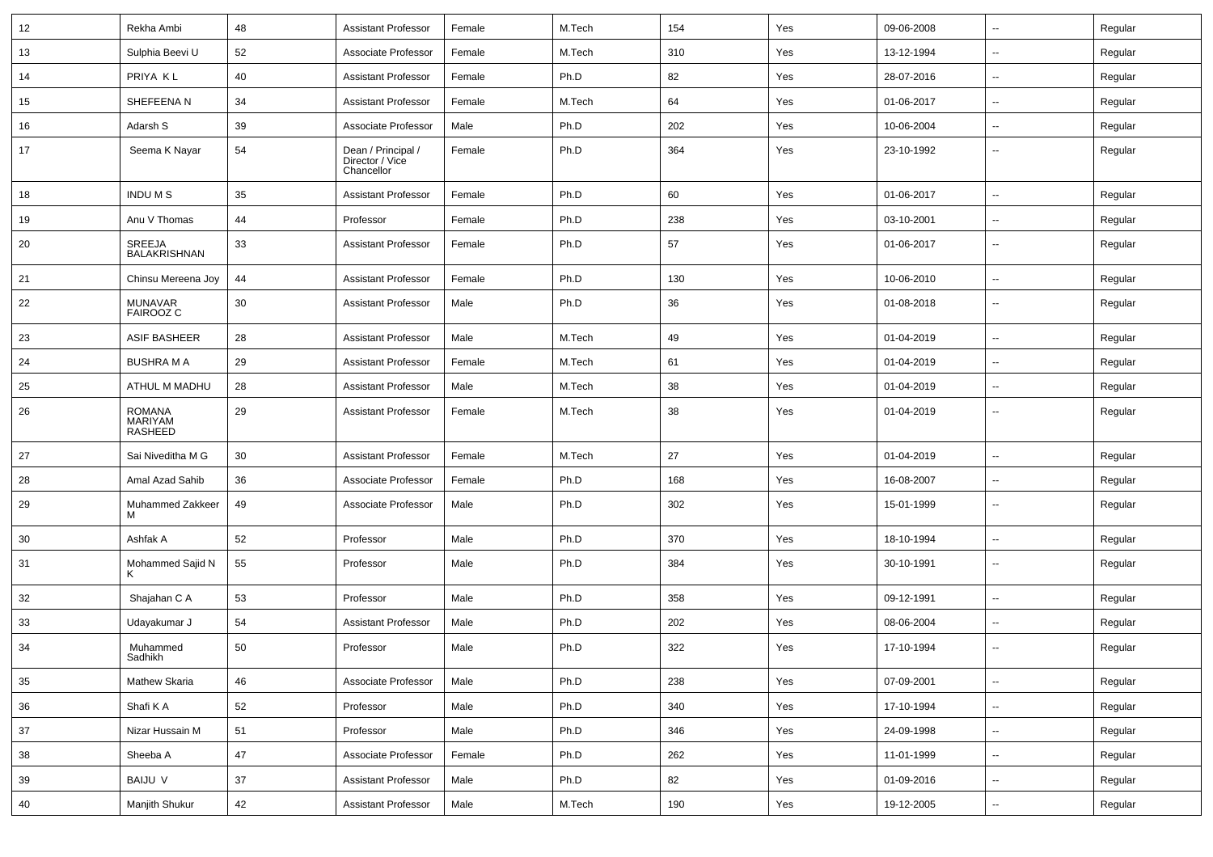| 12     | Rekha Ambi                                        | 48 | <b>Assistant Professor</b>                          | Female | M.Tech | 154 | Yes | 09-06-2008 | $\sim$                   | Regular |
|--------|---------------------------------------------------|----|-----------------------------------------------------|--------|--------|-----|-----|------------|--------------------------|---------|
| 13     | Sulphia Beevi U                                   | 52 | Associate Professor                                 | Female | M.Tech | 310 | Yes | 13-12-1994 | --                       | Regular |
| 14     | PRIYA KL                                          | 40 | <b>Assistant Professor</b>                          | Female | Ph.D   | 82  | Yes | 28-07-2016 | -−                       | Regular |
| 15     | SHEFEENA N                                        | 34 | <b>Assistant Professor</b>                          | Female | M.Tech | 64  | Yes | 01-06-2017 | $\overline{a}$           | Regular |
| 16     | Adarsh S                                          | 39 | Associate Professor                                 | Male   | Ph.D   | 202 | Yes | 10-06-2004 | --                       | Regular |
| 17     | Seema K Nayar                                     | 54 | Dean / Principal /<br>Director / Vice<br>Chancellor | Female | Ph.D   | 364 | Yes | 23-10-1992 | ⊷.                       | Regular |
| 18     | <b>INDUMS</b>                                     | 35 | <b>Assistant Professor</b>                          | Female | Ph.D   | 60  | Yes | 01-06-2017 | --                       | Regular |
| 19     | Anu V Thomas                                      | 44 | Professor                                           | Female | Ph.D   | 238 | Yes | 03-10-2001 | ⊷.                       | Regular |
| 20     | SREEJA<br>BALAKRISHNAN                            | 33 | <b>Assistant Professor</b>                          | Female | Ph.D   | 57  | Yes | 01-06-2017 | --                       | Regular |
| 21     | Chinsu Mereena Joy                                | 44 | <b>Assistant Professor</b>                          | Female | Ph.D   | 130 | Yes | 10-06-2010 | $\overline{\phantom{a}}$ | Regular |
| 22     | MUNAVAR<br><b>FAIROOZ C</b>                       | 30 | <b>Assistant Professor</b>                          | Male   | Ph.D   | 36  | Yes | 01-08-2018 | −−                       | Regular |
| 23     | <b>ASIF BASHEER</b>                               | 28 | <b>Assistant Professor</b>                          | Male   | M.Tech | 49  | Yes | 01-04-2019 | --                       | Regular |
| 24     | <b>BUSHRA M A</b>                                 | 29 | <b>Assistant Professor</b>                          | Female | M.Tech | 61  | Yes | 01-04-2019 | $\overline{\phantom{a}}$ | Regular |
| 25     | ATHUL M MADHU                                     | 28 | <b>Assistant Professor</b>                          | Male   | M.Tech | 38  | Yes | 01-04-2019 | --                       | Regular |
| 26     | <b>ROMANA</b><br><b>MARIYAM</b><br><b>RASHEED</b> | 29 | <b>Assistant Professor</b>                          | Female | M.Tech | 38  | Yes | 01-04-2019 | --                       | Regular |
| 27     | Sai Niveditha M G                                 | 30 | <b>Assistant Professor</b>                          | Female | M.Tech | 27  | Yes | 01-04-2019 | --                       | Regular |
| 28     | Amal Azad Sahib                                   | 36 | Associate Professor                                 | Female | Ph.D   | 168 | Yes | 16-08-2007 | --                       | Regular |
| 29     | Muhammed Zakkeer<br>м                             | 49 | Associate Professor                                 | Male   | Ph.D   | 302 | Yes | 15-01-1999 | --                       | Regular |
| 30     | Ashfak A                                          | 52 | Professor                                           | Male   | Ph.D   | 370 | Yes | 18-10-1994 | $\overline{\phantom{a}}$ | Regular |
| 31     | Mohammed Sajid N                                  | 55 | Professor                                           | Male   | Ph.D   | 384 | Yes | 30-10-1991 | --                       | Regular |
| 32     | Shajahan C A                                      | 53 | Professor                                           | Male   | Ph.D   | 358 | Yes | 09-12-1991 | $\overline{\phantom{a}}$ | Regular |
| 33     | Udayakumar J                                      | 54 | <b>Assistant Professor</b>                          | Male   | Ph.D   | 202 | Yes | 08-06-2004 | --                       | Regular |
| 34     | Muhammed<br>Sadhikh                               | 50 | Professor                                           | Male   | Ph.D   | 322 | Yes | 17-10-1994 | --                       | Regular |
| 35     | Mathew Skaria                                     | 46 | Associate Professor                                 | Male   | Ph.D   | 238 | Yes | 07-09-2001 | $\overline{\phantom{a}}$ | Regular |
| 36     | Shafi K A                                         | 52 | Professor                                           | Male   | Ph.D   | 340 | Yes | 17-10-1994 | ⊶.                       | Regular |
| 37     | Nizar Hussain M                                   | 51 | Professor                                           | Male   | Ph.D   | 346 | Yes | 24-09-1998 | $\overline{\phantom{a}}$ | Regular |
| $38\,$ | Sheeba A                                          | 47 | Associate Professor                                 | Female | Ph.D   | 262 | Yes | 11-01-1999 | Щ,                       | Regular |
| 39     | <b>BAIJU V</b>                                    | 37 | <b>Assistant Professor</b>                          | Male   | Ph.D   | 82  | Yes | 01-09-2016 | ⊶.                       | Regular |
| 40     | Manjith Shukur                                    | 42 | <b>Assistant Professor</b>                          | Male   | M.Tech | 190 | Yes | 19-12-2005 | ⊶.                       | Regular |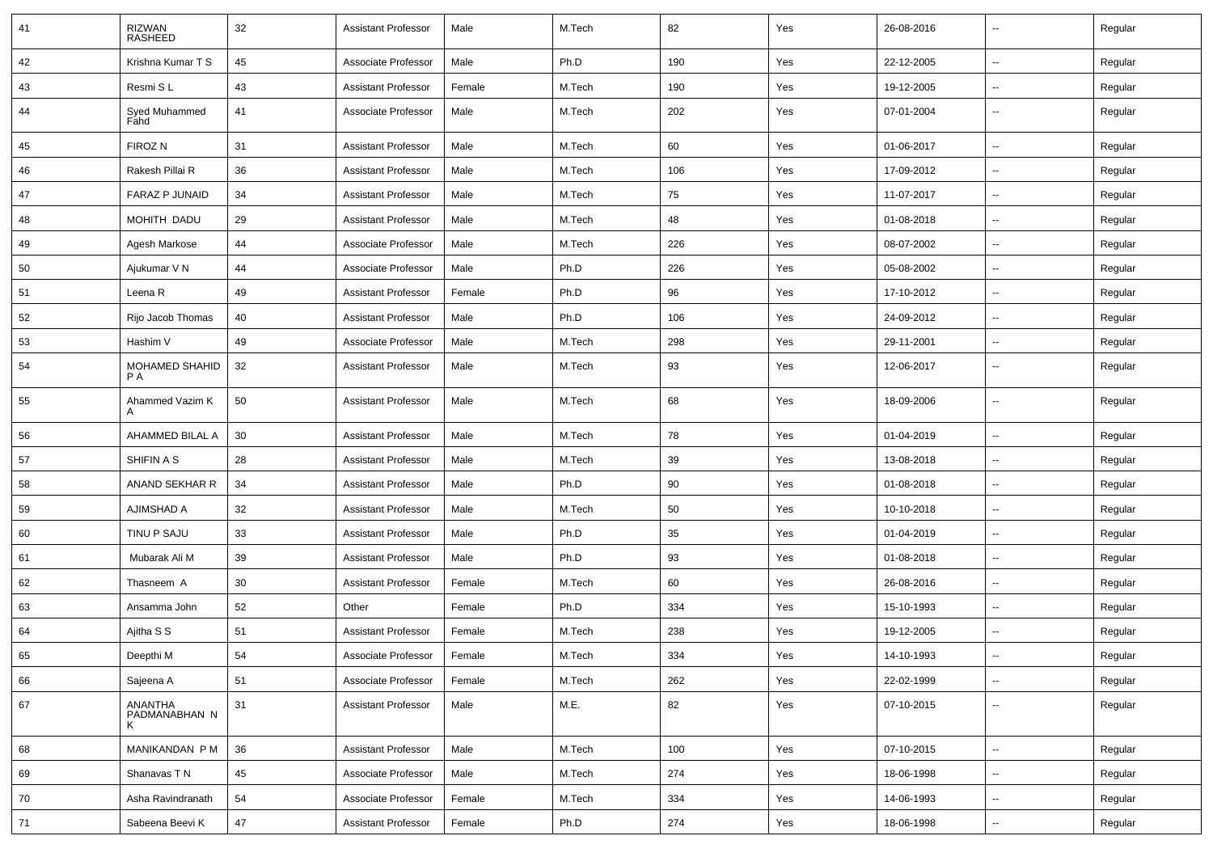| 41 | RIZWAN<br>RASHEED        | 32 | <b>Assistant Professor</b> | Male   | M.Tech | 82  | Yes | 26-08-2016 | --                       | Regular |
|----|--------------------------|----|----------------------------|--------|--------|-----|-----|------------|--------------------------|---------|
| 42 | Krishna Kumar T S        | 45 | Associate Professor        | Male   | Ph.D   | 190 | Yes | 22-12-2005 | $\overline{\phantom{a}}$ | Regular |
| 43 | Resmi SL                 | 43 | <b>Assistant Professor</b> | Female | M.Tech | 190 | Yes | 19-12-2005 | --                       | Regular |
| 44 | Syed Muhammed<br>Fahd    | 41 | Associate Professor        | Male   | M.Tech | 202 | Yes | 07-01-2004 | ⊷.                       | Regular |
| 45 | FIROZ N                  | 31 | <b>Assistant Professor</b> | Male   | M.Tech | 60  | Yes | 01-06-2017 | $\overline{\phantom{a}}$ | Regular |
| 46 | Rakesh Pillai R          | 36 | <b>Assistant Professor</b> | Male   | M.Tech | 106 | Yes | 17-09-2012 | $\overline{\phantom{a}}$ | Regular |
| 47 | <b>FARAZ P JUNAID</b>    | 34 | <b>Assistant Professor</b> | Male   | M.Tech | 75  | Yes | 11-07-2017 | --                       | Regular |
| 48 | MOHITH DADU              | 29 | <b>Assistant Professor</b> | Male   | M.Tech | 48  | Yes | 01-08-2018 | $\sim$                   | Regular |
| 49 | Agesh Markose            | 44 | Associate Professor        | Male   | M.Tech | 226 | Yes | 08-07-2002 | ⊶.                       | Regular |
| 50 | Ajukumar V N             | 44 | Associate Professor        | Male   | Ph.D   | 226 | Yes | 05-08-2002 | -−                       | Regular |
| 51 | Leena R                  | 49 | <b>Assistant Professor</b> | Female | Ph.D   | 96  | Yes | 17-10-2012 | $\overline{\phantom{a}}$ | Regular |
| 52 | Rijo Jacob Thomas        | 40 | <b>Assistant Professor</b> | Male   | Ph.D   | 106 | Yes | 24-09-2012 | $\overline{\phantom{a}}$ | Regular |
| 53 | Hashim V                 | 49 | Associate Professor        | Male   | M.Tech | 298 | Yes | 29-11-2001 | --                       | Regular |
| 54 | MOHAMED SHAHID<br>P A    | 32 | <b>Assistant Professor</b> | Male   | M.Tech | 93  | Yes | 12-06-2017 | ⊷.                       | Regular |
| 55 | Ahammed Vazim K<br>A     | 50 | <b>Assistant Professor</b> | Male   | M.Tech | 68  | Yes | 18-09-2006 | $\overline{\phantom{a}}$ | Regular |
| 56 | AHAMMED BILAL A          | 30 | <b>Assistant Professor</b> | Male   | M.Tech | 78  | Yes | 01-04-2019 | Ξ.                       | Regular |
| 57 | SHIFIN A S               | 28 | <b>Assistant Professor</b> | Male   | M.Tech | 39  | Yes | 13-08-2018 | ⊶.                       | Regular |
| 58 | ANAND SEKHAR R           | 34 | <b>Assistant Professor</b> | Male   | Ph.D   | 90  | Yes | 01-08-2018 | -−                       | Regular |
| 59 | AJIMSHAD A               | 32 | <b>Assistant Professor</b> | Male   | M.Tech | 50  | Yes | 10-10-2018 | $\overline{\phantom{a}}$ | Regular |
| 60 | TINU P SAJU              | 33 | <b>Assistant Professor</b> | Male   | Ph.D   | 35  | Yes | 01-04-2019 | --                       | Regular |
| 61 | Mubarak Ali M            | 39 | <b>Assistant Professor</b> | Male   | Ph.D   | 93  | Yes | 01-08-2018 | --                       | Regular |
| 62 | Thasneem A               | 30 | <b>Assistant Professor</b> | Female | M.Tech | 60  | Yes | 26-08-2016 | Ξ.                       | Regular |
| 63 | Ansamma John             | 52 | Other                      | Female | Ph.D   | 334 | Yes | 15-10-1993 | ⊶.                       | Regular |
| 64 | Ajitha S S               | 51 | <b>Assistant Professor</b> | Female | M.Tech | 238 | Yes | 19-12-2005 | -−                       | Regular |
| 65 | Deepthi M                | 54 | Associate Professor        | Female | M.Tech | 334 | Yes | 14-10-1993 | ⊷.                       | Regular |
| 66 | Sajeena A                | 51 | Associate Professor        | Female | M.Tech | 262 | Yes | 22-02-1999 | $\overline{\phantom{a}}$ | Regular |
| 67 | ANANTHA<br>PADMANABHAN N | 31 | <b>Assistant Professor</b> | Male   | M.E.   | 82  | Yes | 07-10-2015 |                          | Regular |
| 68 | MANIKANDAN P M           | 36 | <b>Assistant Professor</b> | Male   | M.Tech | 100 | Yes | 07-10-2015 | Ξ.                       | Regular |
| 69 | Shanavas T N             | 45 | Associate Professor        | Male   | M.Tech | 274 | Yes | 18-06-1998 | --                       | Regular |
| 70 | Asha Ravindranath        | 54 | Associate Professor        | Female | M.Tech | 334 | Yes | 14-06-1993 | $\overline{\phantom{a}}$ | Regular |
| 71 | Sabeena Beevi K          | 47 | <b>Assistant Professor</b> | Female | Ph.D   | 274 | Yes | 18-06-1998 | н,                       | Regular |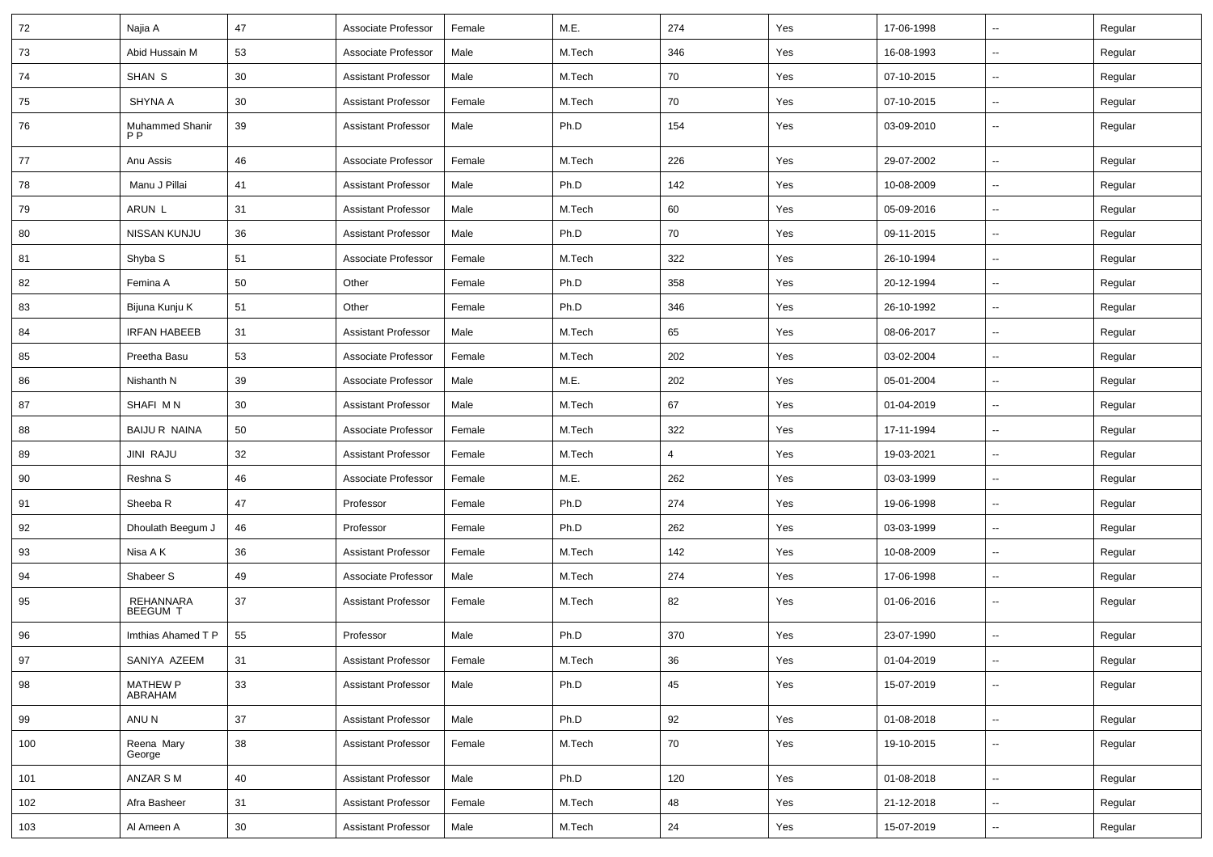| 72  | Najia A                           | 47     | Associate Professor        | Female | M.E.   | 274    | Yes | 17-06-1998 | $\sim$                   | Regular |
|-----|-----------------------------------|--------|----------------------------|--------|--------|--------|-----|------------|--------------------------|---------|
| 73  | Abid Hussain M                    | 53     | Associate Professor        | Male   | M.Tech | 346    | Yes | 16-08-1993 | $\sim$                   | Regular |
| 74  | SHAN S                            | 30     | <b>Assistant Professor</b> | Male   | M.Tech | 70     | Yes | 07-10-2015 | $\sim$                   | Regular |
| 75  | <b>SHYNA A</b>                    | 30     | <b>Assistant Professor</b> | Female | M.Tech | 70     | Yes | 07-10-2015 | $\sim$                   | Regular |
| 76  | Muhammed Shanir<br>P <sub>P</sub> | 39     | <b>Assistant Professor</b> | Male   | Ph.D   | 154    | Yes | 03-09-2010 |                          | Regular |
| 77  | Anu Assis                         | 46     | Associate Professor        | Female | M.Tech | 226    | Yes | 29-07-2002 | ш.                       | Regular |
| 78  | Manu J Pillai                     | 41     | <b>Assistant Professor</b> | Male   | Ph.D   | 142    | Yes | 10-08-2009 | $\mathbf{u}$             | Regular |
| 79  | ARUN L                            | 31     | <b>Assistant Professor</b> | Male   | M.Tech | 60     | Yes | 05-09-2016 | $\sim$                   | Regular |
| 80  | NISSAN KUNJU                      | 36     | <b>Assistant Professor</b> | Male   | Ph.D   | 70     | Yes | 09-11-2015 | $\sim$                   | Regular |
| 81  | Shyba S                           | 51     | Associate Professor        | Female | M.Tech | 322    | Yes | 26-10-1994 | $\sim$                   | Regular |
| 82  | Femina A                          | 50     | Other                      | Female | Ph.D   | 358    | Yes | 20-12-1994 | $\sim$                   | Regular |
| 83  | Bijuna Kunju K                    | 51     | Other                      | Female | Ph.D   | 346    | Yes | 26-10-1992 | $\overline{a}$           | Regular |
| 84  | <b>IRFAN HABEEB</b>               | 31     | <b>Assistant Professor</b> | Male   | M.Tech | 65     | Yes | 08-06-2017 | $\mathbf{u}$             | Regular |
| 85  | Preetha Basu                      | 53     | Associate Professor        | Female | M.Tech | 202    | Yes | 03-02-2004 | $\sim$                   | Regular |
| 86  | Nishanth N                        | 39     | Associate Professor        | Male   | M.E.   | 202    | Yes | 05-01-2004 | $\sim$                   | Regular |
| 87  | SHAFI MN                          | 30     | <b>Assistant Professor</b> | Male   | M.Tech | 67     | Yes | 01-04-2019 | $\sim$                   | Regular |
| 88  | <b>BAIJU R NAINA</b>              | 50     | Associate Professor        | Female | M.Tech | 322    | Yes | 17-11-1994 | $\sim$                   | Regular |
| 89  | <b>JINI RAJU</b>                  | 32     | <b>Assistant Professor</b> | Female | M.Tech | 4      | Yes | 19-03-2021 |                          | Regular |
| 90  | Reshna S                          | 46     | Associate Professor        | Female | M.E.   | 262    | Yes | 03-03-1999 | $\sim$                   | Regular |
| 91  | Sheeba R                          | 47     | Professor                  | Female | Ph.D   | 274    | Yes | 19-06-1998 | $\sim$                   | Regular |
| 92  | Dhoulath Beegum J                 | 46     | Professor                  | Female | Ph.D   | 262    | Yes | 03-03-1999 | $\sim$                   | Regular |
| 93  | Nisa A K                          | 36     | <b>Assistant Professor</b> | Female | M.Tech | 142    | Yes | 10-08-2009 | --                       | Regular |
| 94  | Shabeer S                         | 49     | Associate Professor        | Male   | M.Tech | 274    | Yes | 17-06-1998 | $\sim$                   | Regular |
| 95  | REHANNARA<br><b>BEEGUM T</b>      | 37     | <b>Assistant Professor</b> | Female | M.Tech | 82     | Yes | 01-06-2016 |                          | Regular |
| 96  | Imthias Ahamed T P                | 55     | Professor                  | Male   | Ph.D   | 370    | Yes | 23-07-1990 | Ξ.                       | Regular |
| 97  | SANIYA AZEEM                      | 31     | Assistant Professor        | Female | M.Tech | $36\,$ | Yes | 01-04-2019 |                          | Regular |
| 98  | MATHEW P<br>ABRAHAM               | 33     | <b>Assistant Professor</b> | Male   | Ph.D   | 45     | Yes | 15-07-2019 | $\mathbb{Z}^2$           | Regular |
| 99  | ANU N                             | 37     | Assistant Professor        | Male   | Ph.D   | 92     | Yes | 01-08-2018 | ÷.                       | Regular |
| 100 | Reena Mary<br>George              | $38\,$ | <b>Assistant Professor</b> | Female | M.Tech | 70     | Yes | 19-10-2015 | $\overline{\phantom{a}}$ | Regular |
| 101 | ANZAR S M                         | 40     | <b>Assistant Professor</b> | Male   | Ph.D   | 120    | Yes | 01-08-2018 | $\sim$                   | Regular |
| 102 | Afra Basheer                      | 31     | <b>Assistant Professor</b> | Female | M.Tech | 48     | Yes | 21-12-2018 | $\overline{\phantom{a}}$ | Regular |
| 103 | Al Ameen A                        | $30\,$ | <b>Assistant Professor</b> | Male   | M.Tech | 24     | Yes | 15-07-2019 | $\overline{\phantom{a}}$ | Regular |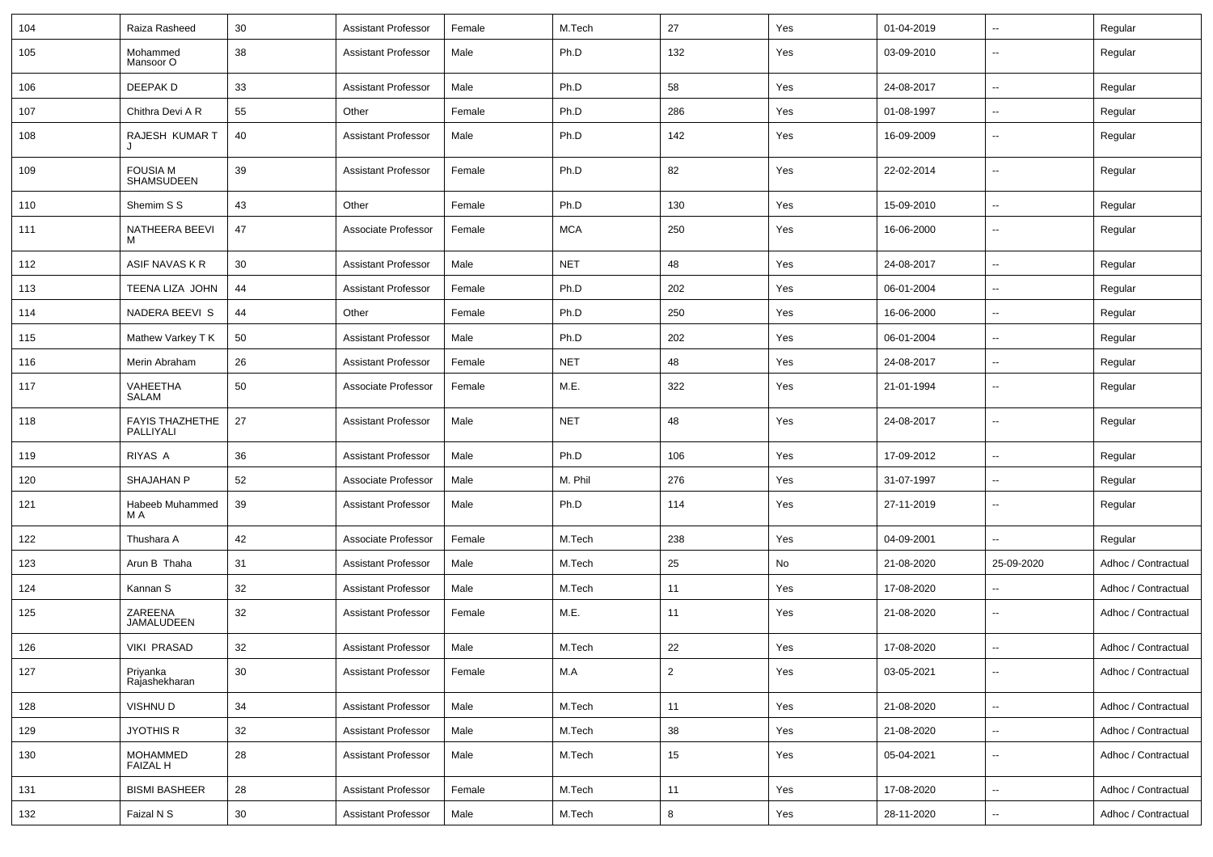| 104 | Raiza Rasheed                       | 30     | <b>Assistant Professor</b> | Female | M.Tech     | 27             | Yes | 01-04-2019 | $\sim$                   | Regular             |
|-----|-------------------------------------|--------|----------------------------|--------|------------|----------------|-----|------------|--------------------------|---------------------|
| 105 | Mohammed<br>Mansoor O               | 38     | <b>Assistant Professor</b> | Male   | Ph.D       | 132            | Yes | 03-09-2010 | Ξ.                       | Regular             |
| 106 | DEEPAK D                            | 33     | <b>Assistant Professor</b> | Male   | Ph.D       | 58             | Yes | 24-08-2017 | $\sim$                   | Regular             |
| 107 | Chithra Devi A R                    | 55     | Other                      | Female | Ph.D       | 286            | Yes | 01-08-1997 | Ξ.                       | Regular             |
| 108 | RAJESH KUMAR T                      | 40     | <b>Assistant Professor</b> | Male   | Ph.D       | 142            | Yes | 16-09-2009 | --                       | Regular             |
| 109 | <b>FOUSIA M</b><br>SHAMSUDEEN       | 39     | <b>Assistant Professor</b> | Female | Ph.D       | 82             | Yes | 22-02-2014 | $\overline{\phantom{a}}$ | Regular             |
| 110 | Shemim S S                          | 43     | Other                      | Female | Ph.D       | 130            | Yes | 15-09-2010 | $\overline{\phantom{a}}$ | Regular             |
| 111 | NATHEERA BEEVI<br>M                 | 47     | Associate Professor        | Female | <b>MCA</b> | 250            | Yes | 16-06-2000 | ۰.                       | Regular             |
| 112 | ASIF NAVAS K R                      | 30     | <b>Assistant Professor</b> | Male   | <b>NET</b> | 48             | Yes | 24-08-2017 | ш,                       | Regular             |
| 113 | TEENA LIZA JOHN                     | 44     | <b>Assistant Professor</b> | Female | Ph.D       | 202            | Yes | 06-01-2004 | $\sim$                   | Regular             |
| 114 | NADERA BEEVI S                      | 44     | Other                      | Female | Ph.D       | 250            | Yes | 16-06-2000 | $\sim$                   | Regular             |
| 115 | Mathew Varkey T K                   | 50     | <b>Assistant Professor</b> | Male   | Ph.D       | 202            | Yes | 06-01-2004 | --                       | Regular             |
| 116 | Merin Abraham                       | 26     | <b>Assistant Professor</b> | Female | <b>NET</b> | 48             | Yes | 24-08-2017 | Ξ.                       | Regular             |
| 117 | VAHEETHA<br>SALAM                   | 50     | Associate Professor        | Female | M.E.       | 322            | Yes | 21-01-1994 | $\overline{\phantom{a}}$ | Regular             |
| 118 | <b>FAYIS THAZHETHE</b><br>PALLIYALI | 27     | <b>Assistant Professor</b> | Male   | <b>NET</b> | 48             | Yes | 24-08-2017 | --                       | Regular             |
| 119 | RIYAS A                             | 36     | <b>Assistant Professor</b> | Male   | Ph.D       | 106            | Yes | 17-09-2012 | $\overline{a}$           | Regular             |
| 120 | SHAJAHAN P                          | 52     | Associate Professor        | Male   | M. Phil    | 276            | Yes | 31-07-1997 | Ξ.                       | Regular             |
| 121 | Habeeb Muhammed<br>M A              | 39     | <b>Assistant Professor</b> | Male   | Ph.D       | 114            | Yes | 27-11-2019 | $\sim$                   | Regular             |
| 122 | Thushara A                          | 42     | Associate Professor        | Female | M.Tech     | 238            | Yes | 04-09-2001 | $\sim$                   | Regular             |
| 123 | Arun B Thaha                        | 31     | <b>Assistant Professor</b> | Male   | M.Tech     | 25             | No  | 21-08-2020 | 25-09-2020               | Adhoc / Contractual |
| 124 | Kannan S                            | 32     | <b>Assistant Professor</b> | Male   | M.Tech     | 11             | Yes | 17-08-2020 | $\sim$                   | Adhoc / Contractual |
| 125 | ZAREENA<br>JAMALUDEEN               | 32     | <b>Assistant Professor</b> | Female | M.E.       | 11             | Yes | 21-08-2020 | $\sim$                   | Adhoc / Contractual |
| 126 | VIKI PRASAD                         | 32     | <b>Assistant Professor</b> | Male   | M.Tech     | 22             | Yes | 17-08-2020 | $\overline{a}$           | Adhoc / Contractual |
| 127 | Priyanka<br>Rajashekharan           | $30\,$ | <b>Assistant Professor</b> | Female | M.A        | $\overline{2}$ | Yes | 03-05-2021 | $\overline{\phantom{a}}$ | Adhoc / Contractual |
| 128 | VISHNU D                            | 34     | <b>Assistant Professor</b> | Male   | M.Tech     | 11             | Yes | 21-08-2020 | ш.                       | Adhoc / Contractual |
| 129 | <b>JYOTHIS R</b>                    | 32     | Assistant Professor        | Male   | M.Tech     | 38             | Yes | 21-08-2020 | u.                       | Adhoc / Contractual |
| 130 | MOHAMMED<br>FAIZAL H                | 28     | <b>Assistant Professor</b> | Male   | M.Tech     | 15             | Yes | 05-04-2021 | $\sim$                   | Adhoc / Contractual |
| 131 | <b>BISMI BASHEER</b>                | 28     | <b>Assistant Professor</b> | Female | M.Tech     | 11             | Yes | 17-08-2020 | ш.                       | Adhoc / Contractual |
| 132 | Faizal N S                          | 30     | <b>Assistant Professor</b> | Male   | M.Tech     | 8              | Yes | 28-11-2020 | $\overline{\phantom{a}}$ | Adhoc / Contractual |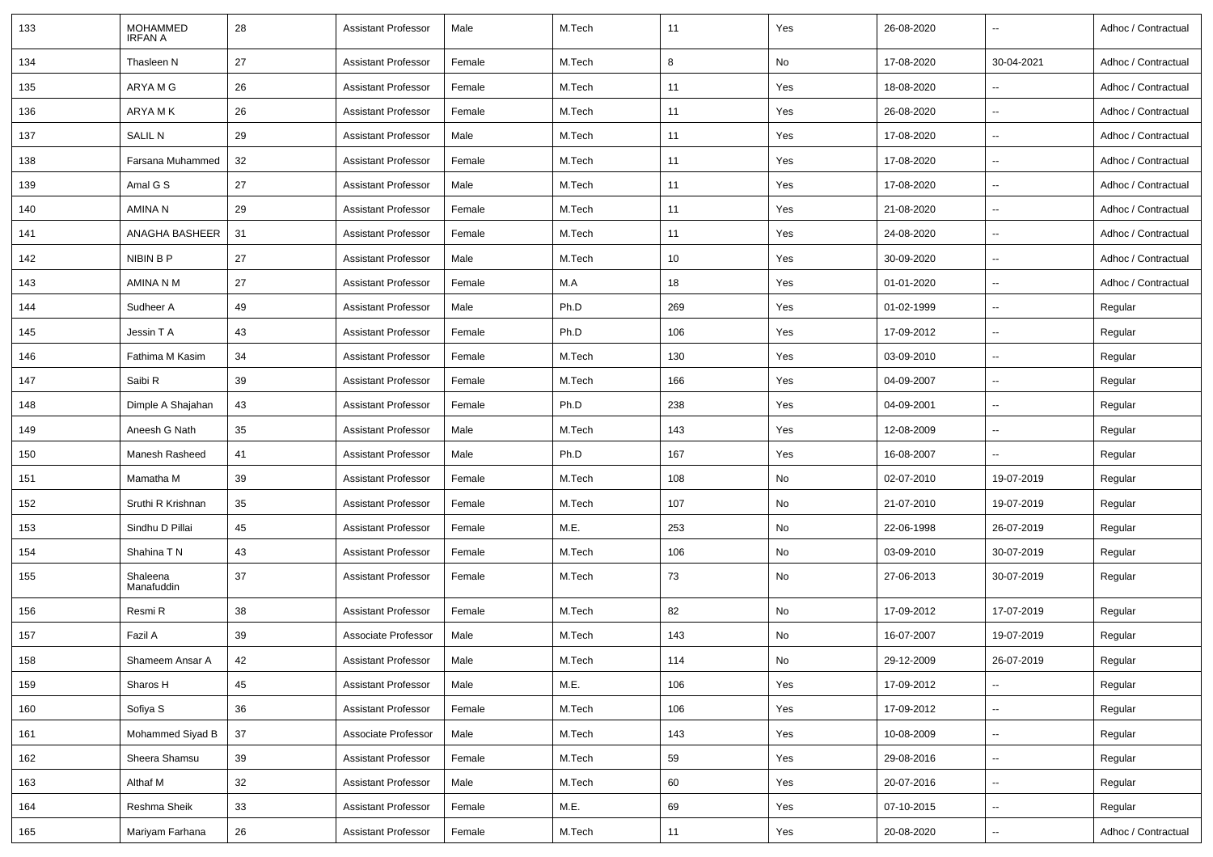| 133 | <b>MOHAMMED</b><br><b>IRFAN A</b> | 28 | <b>Assistant Professor</b> | Male   | M.Tech | 11  | Yes | 26-08-2020 | $\sim$                   | Adhoc / Contractual |
|-----|-----------------------------------|----|----------------------------|--------|--------|-----|-----|------------|--------------------------|---------------------|
| 134 | Thasleen N                        | 27 | <b>Assistant Professor</b> | Female | M.Tech | 8   | No  | 17-08-2020 | 30-04-2021               | Adhoc / Contractual |
| 135 | ARYA M G                          | 26 | <b>Assistant Professor</b> | Female | M.Tech | 11  | Yes | 18-08-2020 | $\sim$                   | Adhoc / Contractual |
| 136 | ARYA M K                          | 26 | <b>Assistant Professor</b> | Female | M.Tech | 11  | Yes | 26-08-2020 | −−                       | Adhoc / Contractual |
| 137 | SALIL N                           | 29 | <b>Assistant Professor</b> | Male   | M.Tech | 11  | Yes | 17-08-2020 | $\overline{\phantom{a}}$ | Adhoc / Contractual |
| 138 | Farsana Muhammed                  | 32 | <b>Assistant Professor</b> | Female | M.Tech | 11  | Yes | 17-08-2020 | $\sim$                   | Adhoc / Contractual |
| 139 | Amal G S                          | 27 | <b>Assistant Professor</b> | Male   | M.Tech | 11  | Yes | 17-08-2020 | $\overline{\phantom{a}}$ | Adhoc / Contractual |
| 140 | AMINA N                           | 29 | <b>Assistant Professor</b> | Female | M.Tech | 11  | Yes | 21-08-2020 | $\overline{\phantom{a}}$ | Adhoc / Contractual |
| 141 | ANAGHA BASHEER                    | 31 | <b>Assistant Professor</b> | Female | M.Tech | 11  | Yes | 24-08-2020 | $\sim$                   | Adhoc / Contractual |
| 142 | NIBIN B P                         | 27 | <b>Assistant Professor</b> | Male   | M.Tech | 10  | Yes | 30-09-2020 | $\overline{\phantom{a}}$ | Adhoc / Contractual |
| 143 | AMINA N M                         | 27 | Assistant Professor        | Female | M.A    | 18  | Yes | 01-01-2020 | Ξ.                       | Adhoc / Contractual |
| 144 | Sudheer A                         | 49 | <b>Assistant Professor</b> | Male   | Ph.D   | 269 | Yes | 01-02-1999 | $\sim$                   | Regular             |
| 145 | Jessin T A                        | 43 | <b>Assistant Professor</b> | Female | Ph.D   | 106 | Yes | 17-09-2012 | $\overline{\phantom{a}}$ | Regular             |
| 146 | Fathima M Kasim                   | 34 | <b>Assistant Professor</b> | Female | M.Tech | 130 | Yes | 03-09-2010 | $\sim$                   | Regular             |
| 147 | Saibi R                           | 39 | <b>Assistant Professor</b> | Female | M.Tech | 166 | Yes | 04-09-2007 | $\sim$                   | Regular             |
| 148 | Dimple A Shajahan                 | 43 | <b>Assistant Professor</b> | Female | Ph.D   | 238 | Yes | 04-09-2001 | $\overline{\phantom{a}}$ | Regular             |
| 149 | Aneesh G Nath                     | 35 | <b>Assistant Professor</b> | Male   | M.Tech | 143 | Yes | 12-08-2009 | $\overline{\phantom{a}}$ | Regular             |
| 150 | Manesh Rasheed                    | 41 | <b>Assistant Professor</b> | Male   | Ph.D   | 167 | Yes | 16-08-2007 |                          | Regular             |
| 151 | Mamatha M                         | 39 | <b>Assistant Professor</b> | Female | M.Tech | 108 | No  | 02-07-2010 | 19-07-2019               | Regular             |
| 152 | Sruthi R Krishnan                 | 35 | <b>Assistant Professor</b> | Female | M.Tech | 107 | No  | 21-07-2010 | 19-07-2019               | Regular             |
| 153 | Sindhu D Pillai                   | 45 | <b>Assistant Professor</b> | Female | M.E.   | 253 | No  | 22-06-1998 | 26-07-2019               | Regular             |
| 154 | Shahina T N                       | 43 | <b>Assistant Professor</b> | Female | M.Tech | 106 | No  | 03-09-2010 | 30-07-2019               | Regular             |
| 155 | Shaleena<br>Manafuddin            | 37 | <b>Assistant Professor</b> | Female | M.Tech | 73  | No  | 27-06-2013 | 30-07-2019               | Regular             |
| 156 | Resmi R                           | 38 | <b>Assistant Professor</b> | Female | M.Tech | 82  | No  | 17-09-2012 | 17-07-2019               | Regular             |
| 157 | Fazil A                           | 39 | Associate Professor        | Male   | M.Tech | 143 | No  | 16-07-2007 | 19-07-2019               | Regular             |
| 158 | Shameem Ansar A                   | 42 | Assistant Professor        | Male   | M.Tech | 114 | No  | 29-12-2009 | 26-07-2019               | Regular             |
| 159 | Sharos H                          | 45 | Assistant Professor        | Male   | M.E.   | 106 | Yes | 17-09-2012 | $\overline{\phantom{a}}$ | Regular             |
| 160 | Sofiya S                          | 36 | <b>Assistant Professor</b> | Female | M.Tech | 106 | Yes | 17-09-2012 | $\sim$                   | Regular             |
| 161 | Mohammed Siyad B                  | 37 | Associate Professor        | Male   | M.Tech | 143 | Yes | 10-08-2009 | $\sim$                   | Regular             |
| 162 | Sheera Shamsu                     | 39 | <b>Assistant Professor</b> | Female | M.Tech | 59  | Yes | 29-08-2016 | $\overline{\phantom{a}}$ | Regular             |
| 163 | Althaf M                          | 32 | <b>Assistant Professor</b> | Male   | M.Tech | 60  | Yes | 20-07-2016 | $\sim$                   | Regular             |
| 164 | Reshma Sheik                      | 33 | <b>Assistant Professor</b> | Female | M.E.   | 69  | Yes | 07-10-2015 | $\sim$                   | Regular             |
| 165 | Mariyam Farhana                   | 26 | <b>Assistant Professor</b> | Female | M.Tech | 11  | Yes | 20-08-2020 | $\overline{\phantom{a}}$ | Adhoc / Contractual |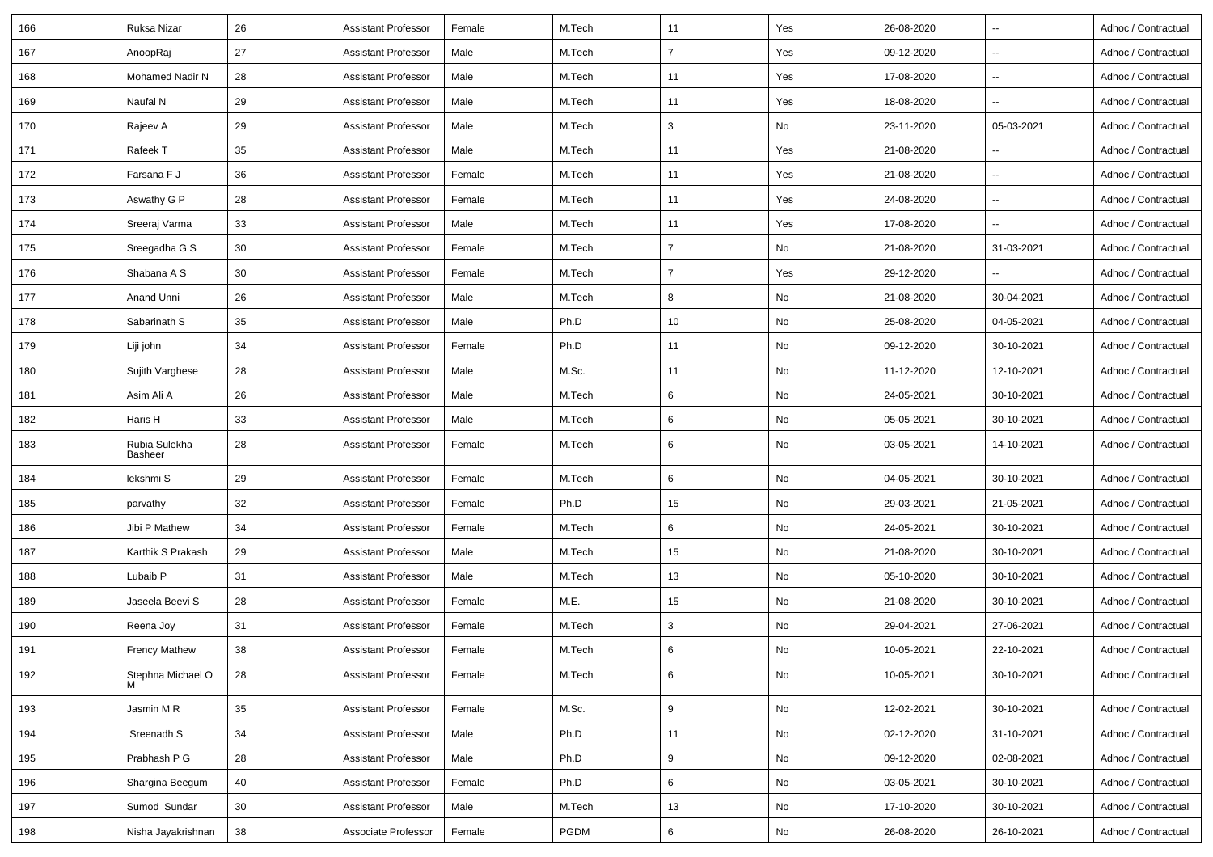| Ruksa Nizar                     | 26 | Assistant Professor        | Female | M.Tech | 11             | Yes | 26-08-2020 | $\overline{\phantom{a}}$ | Adhoc / Contractual |
|---------------------------------|----|----------------------------|--------|--------|----------------|-----|------------|--------------------------|---------------------|
| AnoopRaj                        | 27 | <b>Assistant Professor</b> | Male   | M.Tech | $\overline{7}$ | Yes | 09-12-2020 | $\sim$                   | Adhoc / Contractual |
| Mohamed Nadir N                 | 28 | <b>Assistant Professor</b> | Male   | M.Tech | 11             | Yes | 17-08-2020 | $\overline{\phantom{a}}$ | Adhoc / Contractual |
| Naufal N                        | 29 | Assistant Professor        | Male   | M.Tech | 11             | Yes | 18-08-2020 | $\overline{\phantom{a}}$ | Adhoc / Contractual |
| Rajeev A                        | 29 | Assistant Professor        | Male   | M.Tech | 3              | No  | 23-11-2020 | 05-03-2021               | Adhoc / Contractual |
| Rafeek T                        | 35 | <b>Assistant Professor</b> | Male   | M.Tech | 11             | Yes | 21-08-2020 |                          | Adhoc / Contractual |
| Farsana F J                     | 36 | Assistant Professor        | Female | M.Tech | 11             | Yes | 21-08-2020 | $\overline{\phantom{a}}$ | Adhoc / Contractual |
| Aswathy G P                     | 28 | Assistant Professor        | Female | M.Tech | 11             | Yes | 24-08-2020 | $\sim$                   | Adhoc / Contractual |
| Sreeraj Varma                   | 33 | <b>Assistant Professor</b> | Male   | M.Tech | 11             | Yes | 17-08-2020 | $\overline{\phantom{a}}$ | Adhoc / Contractual |
| Sreegadha G S                   | 30 | Assistant Professor        | Female | M.Tech | $\overline{7}$ | No  | 21-08-2020 | 31-03-2021               | Adhoc / Contractual |
| Shabana A S                     | 30 | <b>Assistant Professor</b> | Female | M.Tech | 7              | Yes | 29-12-2020 |                          | Adhoc / Contractual |
| Anand Unni                      | 26 | <b>Assistant Professor</b> | Male   | M.Tech | 8              | No  | 21-08-2020 | 30-04-2021               | Adhoc / Contractual |
| Sabarinath S                    | 35 | Assistant Professor        | Male   | Ph.D   | 10             | No  | 25-08-2020 | 04-05-2021               | Adhoc / Contractual |
| Liji john                       | 34 | Assistant Professor        | Female | Ph.D   | 11             | No  | 09-12-2020 | 30-10-2021               | Adhoc / Contractual |
| Sujith Varghese                 | 28 | <b>Assistant Professor</b> | Male   | M.Sc.  | 11             | No  | 11-12-2020 | 12-10-2021               | Adhoc / Contractual |
| Asim Ali A                      | 26 | Assistant Professor        | Male   | M.Tech | 6              | No  | 24-05-2021 | 30-10-2021               | Adhoc / Contractual |
| Haris H                         | 33 | Assistant Professor        | Male   | M.Tech | 6              | No  | 05-05-2021 | 30-10-2021               | Adhoc / Contractual |
| Rubia Sulekha<br><b>Basheer</b> | 28 | Assistant Professor        | Female | M.Tech | 6              | No  | 03-05-2021 | 14-10-2021               | Adhoc / Contractual |
| lekshmi S                       | 29 | <b>Assistant Professor</b> | Female | M.Tech | 6              | No  | 04-05-2021 | 30-10-2021               | Adhoc / Contractual |
| parvathy                        | 32 | Assistant Professor        | Female | Ph.D   | 15             | No  | 29-03-2021 | 21-05-2021               | Adhoc / Contractual |
| Jibi P Mathew                   | 34 | <b>Assistant Professo</b>  | Female | M.Tech | 6              | No  | 24-05-2021 | 30-10-2021               | Adhoc / Contractual |
| Karthik S Prakash               | 29 | <b>Assistant Professor</b> | Male   | M.Tech | 15             | No  | 21-08-2020 | 30-10-2021               | Adhoc / Contractual |
| Lubaib P                        | 31 | Assistant Professor        | Male   | M.Tech | 13             | No  | 05-10-2020 | 30-10-2021               | Adhoc / Contractual |
| Jaseela Beevi S                 | 28 | <b>Assistant Professor</b> | Female | M.E.   | 15             | No  | 21-08-2020 | 30-10-2021               | Adhoc / Contractual |
| Reena Joy                       | 31 | <b>Assistant Professor</b> | Female | M.Tech | 3              | No  | 29-04-2021 | 27-06-2021               | Adhoc / Contractual |
| <b>Frency Mathew</b>            | 38 | <b>Assistant Professor</b> | Female | M.Tech | 6              | No  | 10-05-2021 | 22-10-2021               | Adhoc / Contractual |
| Stephna Michael O               | 28 | <b>Assistant Professor</b> | Female | M.Tech | 6              | No  | 10-05-2021 | 30-10-2021               | Adhoc / Contractual |
| Jasmin M R                      | 35 | <b>Assistant Professor</b> | Female | M.Sc.  | 9              | No  | 12-02-2021 | 30-10-2021               | Adhoc / Contractual |
| Sreenadh S                      | 34 | <b>Assistant Professor</b> | Male   | Ph.D   | 11             | No  | 02-12-2020 | 31-10-2021               | Adhoc / Contractual |
| Prabhash P G                    | 28 | <b>Assistant Professor</b> | Male   | Ph.D   | 9              | No  | 09-12-2020 | 02-08-2021               | Adhoc / Contractual |
| Shargina Beegum                 | 40 | <b>Assistant Professor</b> | Female | Ph.D   | 6              | No  | 03-05-2021 | 30-10-2021               | Adhoc / Contractual |
| Sumod Sundar                    | 30 | <b>Assistant Professor</b> | Male   | M.Tech | 13             | No  | 17-10-2020 | 30-10-2021               | Adhoc / Contractual |
| Nisha Jayakrishnan              | 38 | Associate Professor        | Female | PGDM   | 6              | No  | 26-08-2020 | 26-10-2021               | Adhoc / Contractual |
|                                 |    |                            |        |        |                |     |            |                          |                     |